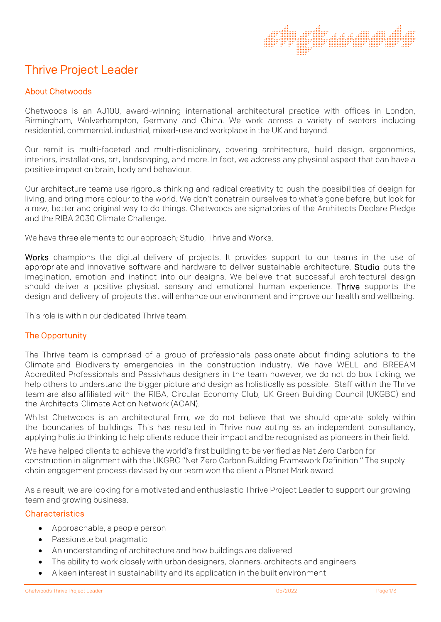# Thrive Project Leader

# About Chetwoods

Chetwoods is an AJ100, award-winning international architectural practice with offices in London, Birmingham, Wolverhampton, Germany and China. We work across a variety of sectors including residential, commercial, industrial, mixed-use and workplace in the UK and beyond.

Our remit is multi-faceted and multi-disciplinary, covering architecture, build design, ergonomics, interiors, installations, art, landscaping, and more. In fact, we address any physical aspect that can have a positive impact on brain, body and behaviour.

Our architecture teams use rigorous thinking and radical creativity to push the possibilities of design for living, and bring more colour to the world. We don't constrain ourselves to what's gone before, but look for a new, better and original way to do things. Chetwoods are signatories of the Architects Declare Pledge and the RIBA 2030 Climate Challenge.

We have three elements to our approach; Studio, Thrive and Works.

Works champions the digital delivery of projects. It provides support to our teams in the use of appropriate and innovative software and hardware to deliver sustainable architecture. Studio puts the imagination, emotion and instinct into our designs. We believe that successful architectural design should deliver a positive physical, sensory and emotional human experience. Thrive supports the design and delivery of projects that will enhance our environment and improve our health and wellbeing.

This role is within our dedicated Thrive team.

## The Opportunity

The Thrive team is comprised of a group of professionals passionate about finding solutions to the Climate and Biodiversity emergencies in the construction industry. We have WELL and BREEAM Accredited Professionals and Passivhaus designers in the team however, we do not do box ticking, we help others to understand the bigger picture and design as holistically as possible. Staff within the Thrive team are also affiliated with the RIBA, Circular Economy Club, UK Green Building Council (UKGBC) and the Architects Climate Action Network (ACAN).

Whilst Chetwoods is an architectural firm, we do not believe that we should operate solely within the boundaries of buildings. This has resulted in Thrive now acting as an independent consultancy, applying holistic thinking to help clients reduce their impact and be recognised as pioneers in their field.

We have helped clients to achieve the world's first building to be verified as Net Zero Carbon for construction in alignment with the UKGBC "Net Zero Carbon Building Framework Definition." The supply chain engagement process devised by our team won the client a Planet Mark award.

As a result, we are looking for a motivated and enthusiastic Thrive Project Leader to support our growing team and growing business.

## **Characteristics**

- Approachable, a people person
- Passionate but pragmatic
- An understanding of architecture and how buildings are delivered
- The ability to work closely with urban designers, planners, architects and engineers
- A keen interest in sustainability and its application in the built environment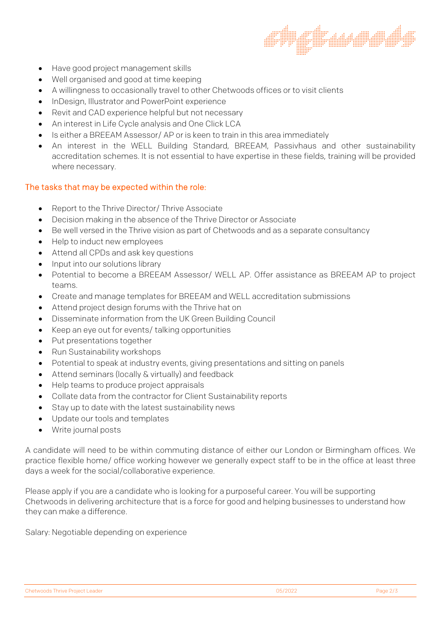

- Have good project management skills
- Well organised and good at time keeping
- A willingness to occasionally travel to other Chetwoods offices or to visit clients
- InDesign, Illustrator and PowerPoint experience
- Revit and CAD experience helpful but not necessary
- An interest in Life Cycle analysis and One Click LCA
- Is either a BREEAM Assessor/ AP or is keen to train in this area immediately
- An interest in the WELL Building Standard, BREEAM, Passivhaus and other sustainability accreditation schemes. It is not essential to have expertise in these fields, training will be provided where necessary.

#### The tasks that may be expected within the role:

- Report to the Thrive Director/ Thrive Associate
- Decision making in the absence of the Thrive Director or Associate
- Be well versed in the Thrive vision as part of Chetwoods and as a separate consultancy
- Help to induct new employees
- Attend all CPDs and ask key questions
- Input into our solutions library
- Potential to become a BREEAM Assessor/ WELL AP. Offer assistance as BREEAM AP to project teams.
- Create and manage templates for BREEAM and WELL accreditation submissions
- Attend project design forums with the Thrive hat on
- Disseminate information from the UK Green Building Council
- Keep an eye out for events/ talking opportunities
- Put presentations together
- Run Sustainability workshops
- Potential to speak at industry events, giving presentations and sitting on panels
- Attend seminars (locally & virtually) and feedback
- Help teams to produce project appraisals
- Collate data from the contractor for Client Sustainability reports
- Stay up to date with the latest sustainability news
- Update our tools and templates
- Write journal posts

A candidate will need to be within commuting distance of either our London or Birmingham offices. We practice flexible home/ office working however we generally expect staff to be in the office at least three days a week for the social/collaborative experience.

Please apply if you are a candidate who is looking for a purposeful career. You will be supporting Chetwoods in delivering architecture that is a force for good and helping businesses to understand how they can make a difference.

Salary: Negotiable depending on experience